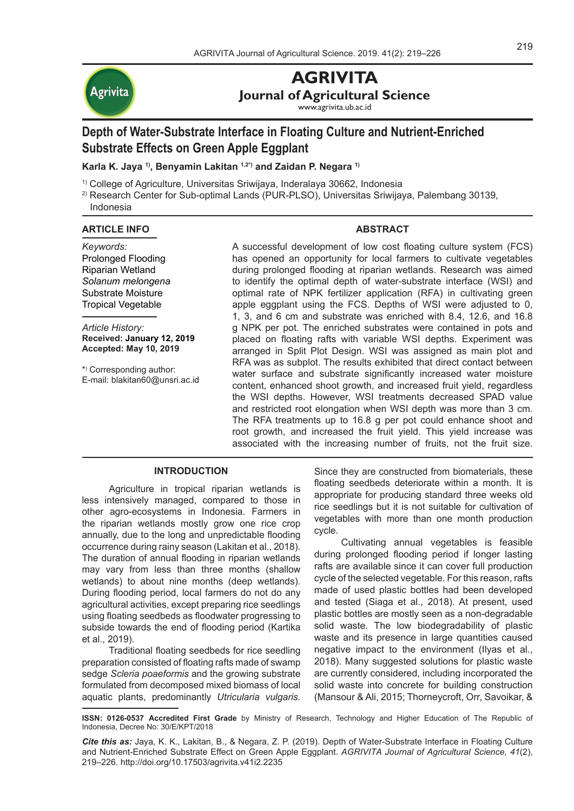

# **AGRIVITA**

**Journal of Agricultural Science**

www.agrivita.ub.ac.id

# **Depth of Water-Substrate Interface in Floating Culture and Nutrient-Enriched Substrate Effects on Green Apple Eggplant**

**Karla K. Jaya 1), Benyamin Lakitan 1,2\*) and Zaidan P. Negara 1)**

- 1) College of Agriculture, Universitas Sriwijaya, Inderalaya 30662, Indonesia
- 2) Research Center for Sub-optimal Lands (PUR-PLSO), Universitas Sriwijaya, Palembang 30139, Indonesia

## **ARTICLE INFO**

# **ABSTRACT**

*Keywords:* Prolonged Flooding Riparian Wetland *Solanum melongena* Substrate Moisture Tropical Vegetable

*Article History:* **Received: January 12, 2019 Accepted: May 10, 2019**

\*) Corresponding author: E-mail: blakitan60@unsri.ac.id A successful development of low cost floating culture system (FCS) has opened an opportunity for local farmers to cultivate vegetables during prolonged flooding at riparian wetlands. Research was aimed to identify the optimal depth of water-substrate interface (WSI) and optimal rate of NPK fertilizer application (RFA) in cultivating green apple eggplant using the FCS. Depths of WSI were adjusted to 0, 1, 3, and 6 cm and substrate was enriched with 8.4, 12.6, and 16.8 g NPK per pot. The enriched substrates were contained in pots and placed on floating rafts with variable WSI depths. Experiment was arranged in Split Plot Design. WSI was assigned as main plot and RFA was as subplot. The results exhibited that direct contact between water surface and substrate significantly increased water moisture content, enhanced shoot growth, and increased fruit yield, regardless the WSI depths. However, WSI treatments decreased SPAD value and restricted root elongation when WSI depth was more than 3 cm. The RFA treatments up to 16.8 g per pot could enhance shoot and root growth, and increased the fruit yield. This yield increase was associated with the increasing number of fruits, not the fruit size.

## **INTRODUCTION**

Agriculture in tropical riparian wetlands is less intensively managed, compared to those in other agro-ecosystems in Indonesia. Farmers in the riparian wetlands mostly grow one rice crop annually, due to the long and unpredictable flooding occurrence during rainy season (Lakitan et al., 2018). The duration of annual flooding in riparian wetlands may vary from less than three months (shallow wetlands) to about nine months (deep wetlands). During flooding period, local farmers do not do any agricultural activities, except preparing rice seedlings using floating seedbeds as floodwater progressing to subside towards the end of flooding period (Kartika et al., 2019).

Traditional floating seedbeds for rice seedling preparation consisted of floating rafts made of swamp sedge *Scleria poaeformis* and the growing substrate formulated from decomposed mixed biomass of local aquatic plants, predominantly *Utricularia vulgaris*. Since they are constructed from biomaterials, these floating seedbeds deteriorate within a month. It is appropriate for producing standard three weeks old rice seedlings but it is not suitable for cultivation of vegetables with more than one month production cycle.

Cultivating annual vegetables is feasible during prolonged flooding period if longer lasting rafts are available since it can cover full production cycle of the selected vegetable. For this reason, rafts made of used plastic bottles had been developed and tested (Siaga et al., 2018). At present, used plastic bottles are mostly seen as a non-degradable solid waste. The low biodegradability of plastic waste and its presence in large quantities caused negative impact to the environment (Ilyas et al., 2018). Many suggested solutions for plastic waste are currently considered, including incorporated the solid waste into concrete for building construction (Mansour & Ali, 2015; Thorneycroft, Orr, Savoikar, &

**ISSN: 0126-0537 Accredited First Grade** by Ministry of Research, Technology and Higher Education of The Republic of Indonesia, Decree No: 30/E/KPT/2018

*Cite this as:* Jaya, K. K., Lakitan, B., & Negara, Z. P. (2019). Depth of Water-Substrate Interface in Floating Culture and Nutrient-Enriched Substrate Effect on Green Apple Eggplant. *AGRIVITA Journal of Agricultural Science, 41*(2), 219–226. http://doi.org/10.17503/agrivita.v41i2.2235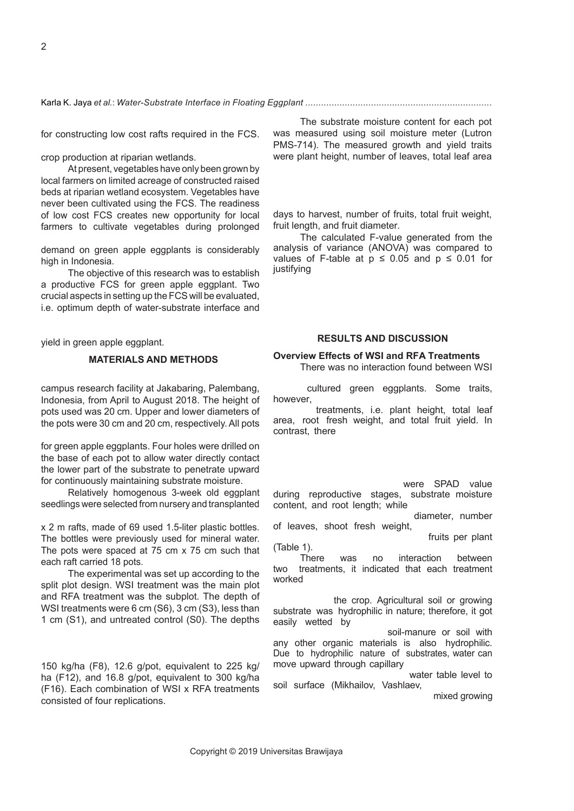Ball, 2018). Used plastic bottles can also be reused for constructing low cost rafts required in the FCS. The latter option gives useful benefts in intensifying crop production at riparian wetlands.

At present, vegetables have only been grown by local farmers on limited acreage of constructed raised beds at riparian wetland ecosystem. Vegetables have never been cultivated using the FCS. The readiness of low cost FCS creates new opportunity for local farmers to cultivate vegetables during prolonged fooding period, including green apple eggplant. The demand on green apple eggplants is considerably high in Indonesia.

The objective of this research was to establish a productive FCS for green apple eggplant. Two crucial aspects in setting up the FCS will be evaluated, i.e. optimum depth of water-substrate interface and optimum rate of NPK fertilizer to be added to soilmanure mix for enhancing growth and maximizing yield in green apple eggplant.

#### **MATERIALS AND METHODS**

This research was carried out at an ofcampus research facility at Jakabaring, Palembang, Indonesia, from April to August 2018. The height of pots used was 20 cm. Upper and lower diameters of the pots were 30 cm and 20 cm, respectively. All pots were filled with soil-manure mix as growing substrate for green apple eggplants. Four holes were drilled on the base of each pot to allow water directly contact the lower part of the substrate to penetrate upward for continuously maintaining substrate moisture.

Relatively homogenous 3-week old eggplant seedlings were selected from nursery and transplanted into each substrate-filled pot. Pots were placed on 1 m x 2 m rafts, made of 69 used 1.5-liter plastic bottles. The bottles were previously used for mineral water. The pots were spaced at 75 cm x 75 cm such that each raft carried 18 pots.

The experimental was set up according to the split plot design. WSI treatment was the main plot and RFA treatment was the subplot. The depth of WSI treatments were 6 cm (S6), 3 cm (S3), less than 1 cm (S1), and untreated control (S0). The depths of WSI were adjusted to each specifed treatment by adding extra load on each raft. NPK inorganic fertilizer was applied at 8.4 g/pot, equivalent to 150 kg/ha (F8), 12.6 g/pot, equivalent to 225 kg/ ha (F12), and 16.8 g/pot, equivalent to 300 kg/ha (F16). Each combination of WSI x RFA treatments consisted of four replications.

The substrate moisture content for each pot was measured using soil moisture meter (Lutron PMS-714). The measured growth and yield traits were plant height, number of leaves, total leaf area (using digital image analyzer developed by Easlon & Bloom, 2014), canopy diameter, leaf SPAD value (using Konica Minolta SPAD-502Plus), shoot dry weight, root length, root dry weight, days to fowering, days to harvest, number of fruits, total fruit weight, fruit length, and fruit diameter.

The calculated F-value generated from the analysis of variance (ANOVA) was compared to values of F-table at  $p \le 0.05$  and  $p \le 0.01$  for justifying significant effects of the treatments. Furthermore, if the treatment effect was significant on any measured traits, the least significant difference (LSD) test was conducted for<br>determining significant differences among determining significant differences among treatment levels on each of specified traits.

#### **RESULTS AND DISCUSSION**

#### **Overview Effects of WSI and RFA Treatments**

There was no interaction found between WSI and RFA treatments on all measured traits in floating-cultured green eggplants. Some traits, however, were separately affected by both the WSI and RFA treatments, i.e. plant height, total leaf area, root fresh weight, and total fruit yield. In contrast, there were also some traits that were not affected either by WSI or RFA treatments, i.e. days to initial flowering, days to initial fruit development, days to the first fruit was harvested, fruit/flower ratio, fruit length, and fruit diameter. Those only affected by WSI treatments were SPAD value during reproductive stages, substrate moisture content, and root length; while those only affected by RFA treatments were canopy diameter, number of leaves, shoot fresh weight, shoot dry weight, number of flowers, and number of fruits per plant (Table 1).

There was no interaction between two treatments, it indicated that each treatment worked independently. WSI affected substrate water status; meanwhile, RFA affected nutrients availability to the crop. Agricultural soil or growing substrate was hydrophilic in nature; therefore, it got easily wetted by water (Gupta et al., 2015). Growing substrate mix of soil-manure or soil with any other organic materials is also hydrophilic. Due to hydrophilic nature of substrates, water can move upward through capillary effect. The capillary rise occurs all the way from water table level to soil surface (Mikhailov, Vashlaev, Kharitonova, & Sviridova, 2018; Xing, Li, & Ma, 2019) or mixed growing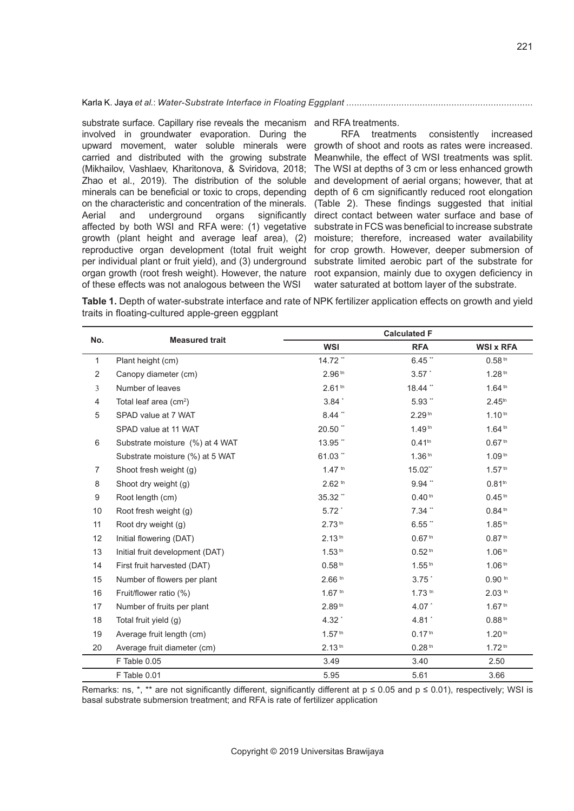substrate surface. Capillary rise reveals the mecanism and RFA treatments. involved in groundwater evaporation. During the upward movement, water soluble minerals were growth of shoot and roots as rates were increased. carried and distributed with the growing substrate (Mikhailov, Vashlaev, Kharitonova, & Sviridova, 2018; Zhao et al., 2019). The distribution of the soluble and development of aerial organs; however, that at minerals can be beneficial or toxic to crops, depending depth of 6 cm significantly reduced root elongation on the characteristic and concentration of the minerals. (Table 2). These findings suggested that initial Aerial and underground organs significantly direct contact between water surface and base of affected by both WSI and RFA were: (1) vegetative substrate in FCS was beneficial to increase substrate growth (plant height and average leaf area), (2) moisture; therefore, increased water availability reproductive organ development (total fruit weight for crop growth. However, deeper submersion of per individual plant or fruit yield), and (3) underground substrate limited aerobic part of the substrate for organ growth (root fresh weight). However, the nature root expansion, mainly due to oxygen deficiency in of these effects was not analogous between the WSI water saturated at bottom layer of the substrate.

RFA treatments consistently increased Meanwhile, the effect of WSI treatments was split. The WSI at depths of 3 cm or less enhanced growth

**Table 1.** Depth of water-substrate interface and rate of NPK fertilizer application effects on growth and yield traits in floating-cultured apple-green eggplant

| No.            | <b>Measured trait</b>              | <b>Calculated F</b> |                    |                    |  |
|----------------|------------------------------------|---------------------|--------------------|--------------------|--|
|                |                                    | <b>WSI</b>          | <b>RFA</b>         | <b>WSI x RFA</b>   |  |
| $\mathbf{1}$   | Plant height (cm)                  | 14.72 **            | $6.45$ **          | 0.58 <sup>tn</sup> |  |
| 2              | Canopy diameter (cm)               | 2.96 <sup>tn</sup>  | 3.57               | 1.28 <sup>tn</sup> |  |
| 3              | Number of leaves                   | 2.61 <sup>tn</sup>  | 18.44 **           | 1.64 <sup>tn</sup> |  |
| $\overline{4}$ | Total leaf area (cm <sup>2</sup> ) | $3.84$ $\degree$    | $5.93$ **          | 2.45 <sup>tn</sup> |  |
| 5              | SPAD value at 7 WAT                | $8.44$ **           | 2.29 <sup>tn</sup> | 1.10 <sup>tn</sup> |  |
|                | SPAD value at 11 WAT               | 20.50 **            | 1.49 <sup>tn</sup> | 1.64 <sup>tn</sup> |  |
| 6              | Substrate moisture (%) at 4 WAT    | 13.95 **            | $0.41^{tn}$        | 0.67 <sup>tn</sup> |  |
|                | Substrate moisture (%) at 5 WAT    | $61.03$ **          | 1.36 <sup>tn</sup> | 1.09 <sup>tn</sup> |  |
| $\overline{7}$ | Shoot fresh weight (g)             | $1.47$ tn           | 15.02**            | 1.57 <sup>th</sup> |  |
| 8              | Shoot dry weight (g)               | $2.62 \text{ m}$    | $9.94$ **          | $0.81^{tn}$        |  |
| 9              | Root length (cm)                   | 35.32"              | 0.40 <sup>tn</sup> | 0.45 <sup>tn</sup> |  |
| 10             | Root fresh weight (g)              | 5.72                | $7.34$ **          | 0.84 <sup>tn</sup> |  |
| 11             | Root dry weight (g)                | 2.73 <sup>tn</sup>  | $6.55$ **          | 1.85 <sup>tn</sup> |  |
| 12             | Initial flowering (DAT)            | 2.13 <sup>tn</sup>  | 0.67 <sup>tn</sup> | 0.87 <sup>tn</sup> |  |
| 13             | Initial fruit development (DAT)    | 1.53 <sup>tn</sup>  | 0.52 <sup>tn</sup> | 1.06 <sup>tn</sup> |  |
| 14             | First fruit harvested (DAT)        | 0.58 <sup>tn</sup>  | $1.55^{th}$        | 1.06 <sup>tn</sup> |  |
| 15             | Number of flowers per plant        | $2.66$ th           | 3.75               | $0.90$ th          |  |
| 16             | Fruit/flower ratio (%)             | $1.67$ th           | $1.73$ th          | $2.03$ tn          |  |
| 17             | Number of fruits per plant         | 2.89 <sup>tn</sup>  | 4.07 *             | 1.67 <sup>tn</sup> |  |
| 18             | Total fruit yield (g)              | 4.32                | 4.81               | 0.88 <sup>tn</sup> |  |
| 19             | Average fruit length (cm)          | $1.57$ tn           | 0.17 <sup>tn</sup> | 1.20 <sup>tn</sup> |  |
| 20             | Average fruit diameter (cm)        | 2.13 <sup>tn</sup>  | 0.28 <sup>tn</sup> | 1.72 <sup>tn</sup> |  |
|                | F Table 0.05                       | 3.49                | 3.40               | 2.50               |  |
|                | F Table 0.01                       | 5.95                | 5.61               | 3.66               |  |

Remarks: ns, \*, \*\* are not significantly different, significantly different at  $p \le 0.05$  and  $p \le 0.01$ ), respectively: WSI is basal substrate submersion treatment; and RFA is rate of fertilizer application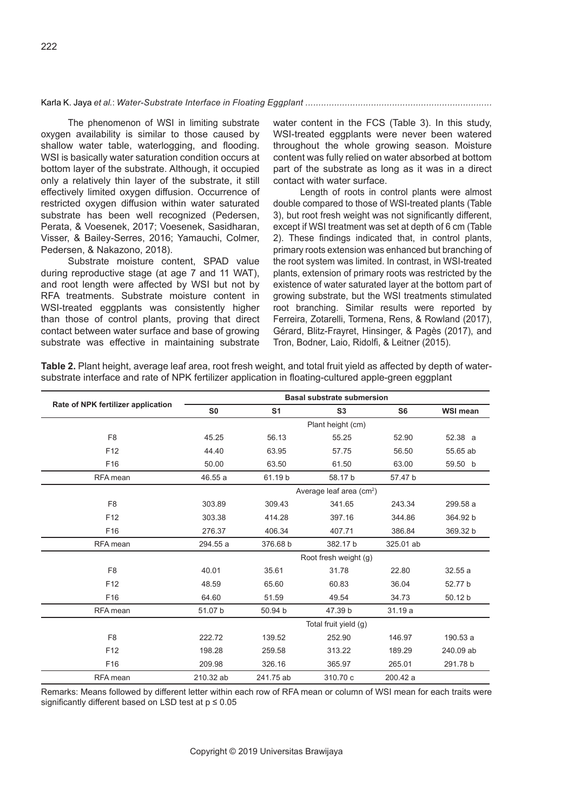Karla K. Jaya *et al.*: *Water-Substrate Interface in Floating Eggplant .......................................................................* 

The phenomenon of WSI in limiting substrate oxygen availability is similar to those caused by shallow water table, waterlogging, and flooding. WSI is basically water saturation condition occurs at bottom layer of the substrate. Although, it occupied only a relatively thin layer of the substrate, it still effectively limited oxygen diffusion. Occurrence of restricted oxygen diffusion within water saturated substrate has been well recognized (Pedersen, Perata, & Voesenek, 2017; Voesenek, Sasidharan, Visser, & Bailey-Serres, 2016; Yamauchi, Colmer, Pedersen, & Nakazono, 2018).

Substrate moisture content, SPAD value during reproductive stage (at age 7 and 11 WAT), and root length were affected by WSI but not by RFA treatments. Substrate moisture content in WSI-treated eggplants was consistently higher than those of control plants, proving that direct contact between water surface and base of growing substrate was effective in maintaining substrate

water content in the FCS (Table 3). In this study, WSI-treated eggplants were never been watered throughout the whole growing season. Moisture content was fully relied on water absorbed at bottom part of the substrate as long as it was in a direct contact with water surface.

Length of roots in control plants were almost double compared to those of WSI-treated plants (Table 3), but root fresh weight was not significantly different, except if WSI treatment was set at depth of 6 cm (Table 2). These findings indicated that, in control plants, primary roots extension was enhanced but branching of the root system was limited. In contrast, in WSI-treated plants, extension of primary roots was restricted by the existence of water saturated layer at the bottom part of growing substrate, but the WSI treatments stimulated root branching. Similar results were reported by Ferreira, Zotarelli, Tormena, Rens, & Rowland (2017), Gérard, Blitz-Frayret, Hinsinger, & Pagès (2017), and Tron, Bodner, Laio, Ridolfi, & Leitner (2015).

**Table 2.** Plant height, average leaf area, root fresh weight, and total fruit yield as affected by depth of watersubstrate interface and rate of NPK fertilizer application in floating-cultured apple-green eggplant

|                                    | <b>Basal substrate submersion</b>    |                |                |                |                 |
|------------------------------------|--------------------------------------|----------------|----------------|----------------|-----------------|
| Rate of NPK fertilizer application | S <sub>0</sub>                       | S <sub>1</sub> | S <sub>3</sub> | S <sub>6</sub> | <b>WSI mean</b> |
|                                    | Plant height (cm)                    |                |                |                |                 |
| F <sub>8</sub>                     | 45.25                                | 56.13          | 55.25          | 52.90          | 52.38 a         |
| F <sub>12</sub>                    | 44.40                                | 63.95          | 57.75          | 56.50          | 55.65 ab        |
| F16                                | 50.00                                | 63.50          | 61.50          | 63.00          | 59.50 b         |
| RFA mean                           | 46.55 a                              | 61.19 b        | 58.17 b        | 57.47 b        |                 |
|                                    | Average leaf area (cm <sup>2</sup> ) |                |                |                |                 |
| F <sub>8</sub>                     | 303.89                               | 309.43         | 341.65         | 243.34         | 299.58 a        |
| F <sub>12</sub>                    | 303.38                               | 414.28         | 397.16         | 344.86         | 364.92 b        |
| F16                                | 276.37                               | 406.34         | 407.71         | 386.84         | 369.32 b        |
| RFA mean                           | 294.55 a                             | 376.68 b       | 382.17 b       | 325.01 ab      |                 |
|                                    | Root fresh weight (g)                |                |                |                |                 |
| F <sub>8</sub>                     | 40.01                                | 35.61          | 31.78          | 22.80          | 32.55a          |
| F <sub>12</sub>                    | 48.59                                | 65.60          | 60.83          | 36.04          | 52.77 b         |
| F16                                | 64.60                                | 51.59          | 49.54          | 34.73          | 50.12 b         |
| RFA mean                           | 51.07 b                              | 50.94 b        | 47.39 b        | 31.19a         |                 |
|                                    | Total fruit yield (g)                |                |                |                |                 |
| F <sub>8</sub>                     | 222.72                               | 139.52         | 252.90         | 146.97         | 190.53 a        |
| F <sub>12</sub>                    | 198.28                               | 259.58         | 313.22         | 189.29         | 240.09 ab       |
| F <sub>16</sub>                    | 209.98                               | 326.16         | 365.97         | 265.01         | 291.78 b        |
| RFA mean                           | 210.32 ab                            | 241.75 ab      | 310.70 c       | 200.42 a       |                 |

Remarks: Means followed by different letter within each row of RFA mean or column of WSI mean for each traits were significantly different based on LSD test at  $p \le 0.05$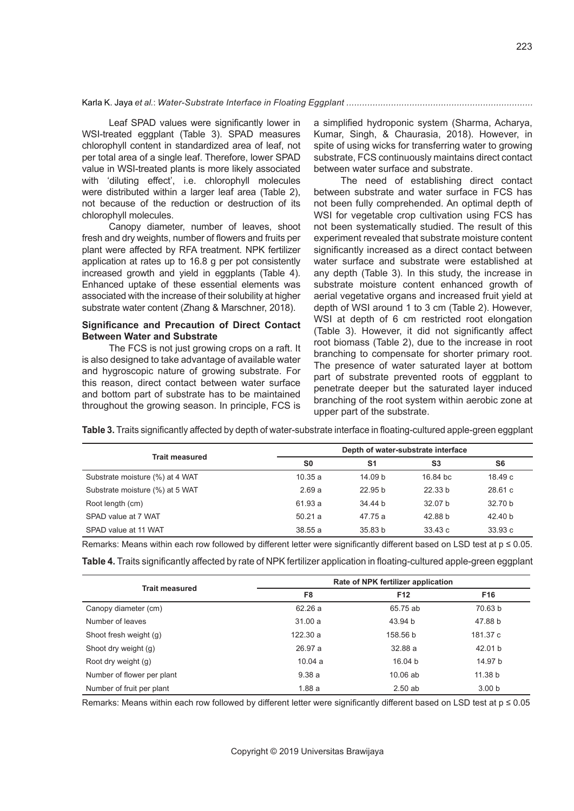Leaf SPAD values were significantly lower in WSI-treated eggplant (Table 3). SPAD measures chlorophyll content in standardized area of leaf, not per total area of a single leaf. Therefore, lower SPAD value in WSI-treated plants is more likely associated with 'diluting effect', i.e. chlorophyll molecules were distributed within a larger leaf area (Table 2), not because of the reduction or destruction of its chlorophyll molecules.

Canopy diameter, number of leaves, shoot fresh and dry weights, number of flowers and fruits per plant were affected by RFA treatment. NPK fertilizer application at rates up to 16.8 g per pot consistently increased growth and yield in eggplants (Table 4). Enhanced uptake of these essential elements was associated with the increase of their solubility at higher substrate water content (Zhang & Marschner, 2018).

# **Significance and Precaution of Direct Contact Between Water and Substrate**

The FCS is not just growing crops on a raft. It is also designed to take advantage of available water and hygroscopic nature of growing substrate. For this reason, direct contact between water surface and bottom part of substrate has to be maintained throughout the growing season. In principle, FCS is a simplified hydroponic system (Sharma, Acharya, Kumar, Singh, & Chaurasia, 2018). However, in spite of using wicks for transferring water to growing substrate, FCS continuously maintains direct contact between water surface and substrate.

The need of establishing direct contact between substrate and water surface in FCS has not been fully comprehended. An optimal depth of WSI for vegetable crop cultivation using FCS has not been systematically studied. The result of this experiment revealed that substrate moisture content significantly increased as a direct contact between water surface and substrate were established at any depth (Table 3). In this study, the increase in substrate moisture content enhanced growth of aerial vegetative organs and increased fruit yield at depth of WSI around 1 to 3 cm (Table 2). However, WSI at depth of 6 cm restricted root elongation (Table 3). However, it did not significantly affect root biomass (Table 2), due to the increase in root branching to compensate for shorter primary root. The presence of water saturated layer at bottom part of substrate prevented roots of eggplant to penetrate deeper but the saturated layer induced branching of the root system within aerobic zone at upper part of the substrate.

**Table 3.** Traits significantly affected by depth of water-substrate interface in floating-cultured apple-green eggplant

|                                 | Depth of water-substrate interface |                    |                |                    |
|---------------------------------|------------------------------------|--------------------|----------------|--------------------|
| <b>Trait measured</b>           | <b>SO</b>                          | S <sub>1</sub>     | S <sub>3</sub> | S6                 |
| Substrate moisture (%) at 4 WAT | 10.35a                             | 14.09 <sub>b</sub> | 16.84 bc       | 18.49c             |
| Substrate moisture (%) at 5 WAT | 2.69a                              | 22.95 <sub>b</sub> | 22.33h         | 28.61c             |
| Root length (cm)                | 61.93 a                            | 34.44 b            | 32.07 b        | 32.70 b            |
| SPAD value at 7 WAT             | 50.21a                             | 47.75 a            | 42.88 b        | 42.40 <sub>b</sub> |
| SPAD value at 11 WAT            | 38.55a                             | 35.83 <sub>b</sub> | 33.43c         | 33.93c             |

Remarks: Means within each row followed by different letter were significantly different based on LSD test at p ≤ 0.05.

| Table 4. Traits significantly affected by rate of NPK fertilizer application in floating-cultured apple-green eggplant |  |  |
|------------------------------------------------------------------------------------------------------------------------|--|--|
|------------------------------------------------------------------------------------------------------------------------|--|--|

| <b>Trait measured</b>      | Rate of NPK fertilizer application |                 |                   |  |
|----------------------------|------------------------------------|-----------------|-------------------|--|
|                            | F <sub>8</sub>                     | F <sub>12</sub> | F <sub>16</sub>   |  |
| Canopy diameter (cm)       | 62.26 a                            | 65.75 ab        | 70.63 b           |  |
| Number of leaves           | 31.00a                             | 43.94 b         | 47.88 b           |  |
| Shoot fresh weight (g)     | 122.30a                            | 158.56 b        | 181.37 c          |  |
| Shoot dry weight (g)       | 26.97 a                            | 32.88 a         | 42.01 b           |  |
| Root dry weight (g)        | 10.04a                             | 16.04 b         | 14.97 b           |  |
| Number of flower per plant | 9.38a                              | $10.06$ ab      | 11.38 b           |  |
| Number of fruit per plant  | 1.88a                              | 2.50ab          | 3.00 <sub>b</sub> |  |

Remarks: Means within each row followed by different letter were significantly different based on LSD test at p ≤ 0.05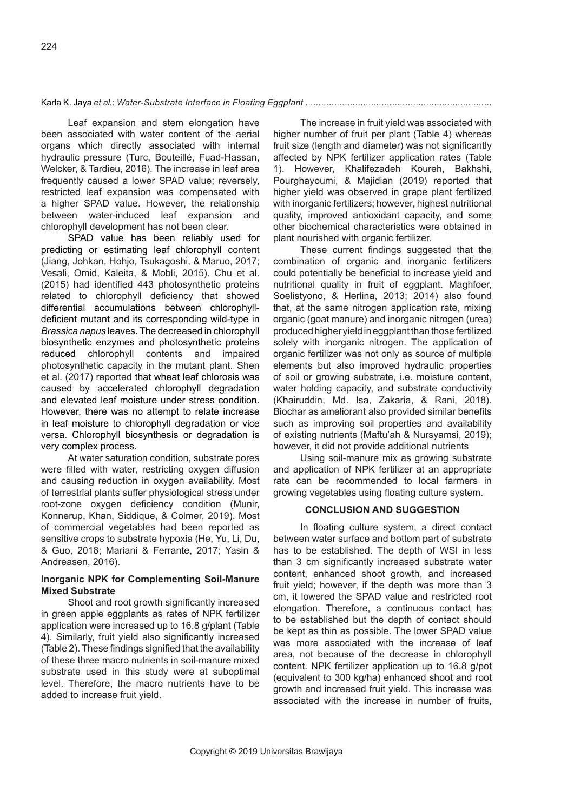Leaf expansion and stem elongation have been associated with water content of the aerial organs which directly associated with internal hydraulic pressure (Turc, Bouteillé, Fuad-Hassan, Welcker, & Tardieu, 2016). The increase in leaf area frequently caused a lower SPAD value; reversely, restricted leaf expansion was compensated with a higher SPAD value. However, the relationship between water-induced leaf expansion and chlorophyll development has not been clear.

SPAD value has been reliably used for predicting or estimating leaf chlorophyll content (Jiang, Johkan, Hohjo, Tsukagoshi, & Maruo, 2017; Vesali, Omid, Kaleita, & Mobli, 2015). Chu et al. (2015) had identified 443 photosynthetic proteins related to chlorophyll deficiency that showed differential accumulations between chlorophylldeficient mutant and its corresponding wild-type in *Brassica napus* leaves. The decreased in chlorophyll biosynthetic enzymes and photosynthetic proteins reduced chlorophyll contents and impaired photosynthetic capacity in the mutant plant. Shen et al. (2017) reported that wheat leaf chlorosis was caused by accelerated chlorophyll degradation and elevated leaf moisture under stress condition. However, there was no attempt to relate increase in leaf moisture to chlorophyll degradation or vice versa. Chlorophyll biosynthesis or degradation is very complex process.

At water saturation condition, substrate pores were filled with water, restricting oxygen diffusion and causing reduction in oxygen availability. Most of terrestrial plants suffer physiological stress under root-zone oxygen deficiency condition (Munir, Konnerup, Khan, Siddique, & Colmer, 2019). Most of commercial vegetables had been reported as sensitive crops to substrate hypoxia (He, Yu, Li, Du, & Guo, 2018; Mariani & Ferrante, 2017; Yasin & Andreasen, 2016).

# **Inorganic NPK for Complementing Soil-Manure Mixed Substrate**

Shoot and root growth significantly increased in green apple eggplants as rates of NPK fertilizer application were increased up to 16.8 g/plant (Table 4). Similarly, fruit yield also significantly increased (Table 2). These findings signified that the availability of these three macro nutrients in soil-manure mixed substrate used in this study were at suboptimal level. Therefore, the macro nutrients have to be added to increase fruit yield.

The increase in fruit yield was associated with higher number of fruit per plant (Table 4) whereas fruit size (length and diameter) was not significantly affected by NPK fertilizer application rates (Table 1). However, Khalifezadeh Koureh, Bakhshi, Pourghayoumi, & Majidian (2019) reported that higher yield was observed in grape plant fertilized with inorganic fertilizers; however, highest nutritional quality, improved antioxidant capacity, and some other biochemical characteristics were obtained in plant nourished with organic fertilizer.

These current findings suggested that the combination of organic and inorganic fertilizers could potentially be beneficial to increase yield and nutritional quality in fruit of eggplant. Maghfoer, Soelistyono, & Herlina, 2013; 2014) also found that, at the same nitrogen application rate, mixing organic (goat manure) and inorganic nitrogen (urea) produced higher yield in eggplant than those fertilized solely with inorganic nitrogen. The application of organic fertilizer was not only as source of multiple elements but also improved hydraulic properties of soil or growing substrate, i.e. moisture content, water holding capacity, and substrate conductivity (Khairuddin, Md. Isa, Zakaria, & Rani, 2018). Biochar as ameliorant also provided similar benefits such as improving soil properties and availability of existing nutrients (Maftu'ah & Nursyamsi, 2019); however, it did not provide additional nutrients

Using soil-manure mix as growing substrate and application of NPK fertilizer at an appropriate rate can be recommended to local farmers in growing vegetables using floating culture system.

#### **CONCLUSION AND SUGGESTION**

In floating culture system, a direct contact between water surface and bottom part of substrate has to be established. The depth of WSI in less than 3 cm significantly increased substrate water content, enhanced shoot growth, and increased fruit yield; however, if the depth was more than 3 cm, it lowered the SPAD value and restricted root elongation. Therefore, a continuous contact has to be established but the depth of contact should be kept as thin as possible. The lower SPAD value was more associated with the increase of leaf area, not because of the decrease in chlorophyll content. NPK fertilizer application up to 16.8 g/pot (equivalent to 300 kg/ha) enhanced shoot and root growth and increased fruit yield. This increase was associated with the increase in number of fruits,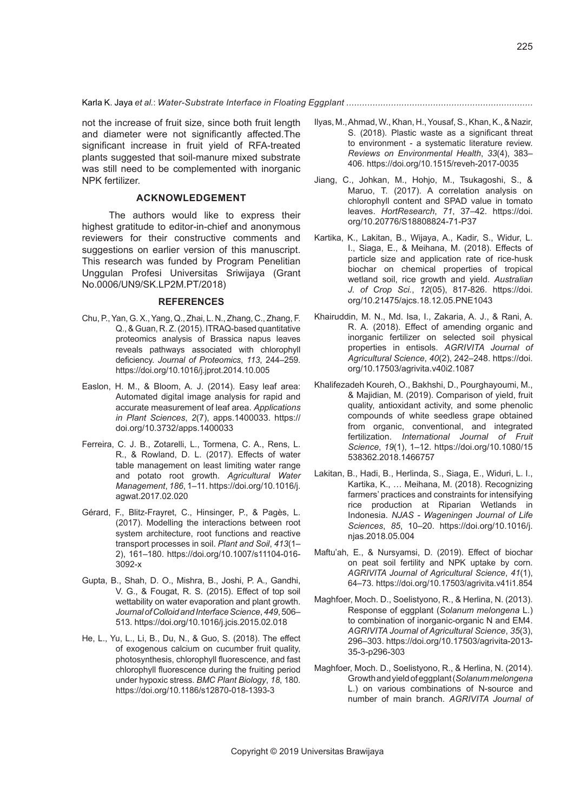not the increase of fruit size, since both fruit length and diameter were not significantly affected.The significant increase in fruit yield of RFA-treated plants suggested that soil-manure mixed substrate was still need to be complemented with inorganic NPK fertilizer.

# **ACKNOWLEDGEMENT**

The authors would like to express their highest gratitude to editor-in-chief and anonymous reviewers for their constructive comments and suggestions on earlier version of this manuscript. This research was funded by Program Penelitian Unggulan Profesi Universitas Sriwijaya (Grant No.0006/UN9/SK.LP2M.PT/2018)

#### **REFERENCES**

- Chu, P., Yan, G. X., Yang, Q., Zhai, L. N., Zhang, C., Zhang, F. Q., & Guan, R. Z. (2015). ITRAQ-based quantitative proteomics analysis of Brassica napus leaves reveals pathways associated with chlorophyll deficiency. *Journal of Proteomics*, *113*, 244–259. https://doi.org/10.1016/j.jprot.2014.10.005
- Easlon, H. M., & Bloom, A. J. (2014). Easy leaf area: Automated digital image analysis for rapid and accurate measurement of leaf area. *Applications in Plant Sciences*, *2*(7), apps.1400033. https:// doi.org/10.3732/apps.1400033
- Ferreira, C. J. B., Zotarelli, L., Tormena, C. A., Rens, L. R., & Rowland, D. L. (2017). Effects of water table management on least limiting water range and potato root growth. *Agricultural Water Management*, *186*, 1–11. https://doi.org/10.1016/j. agwat.2017.02.020
- Gérard, F., Blitz-Frayret, C., Hinsinger, P., & Pagès, L. (2017). Modelling the interactions between root system architecture, root functions and reactive transport processes in soil. *Plant and Soil*, *413*(1– 2), 161–180. https://doi.org/10.1007/s11104-016- 3092-x
- Gupta, B., Shah, D. O., Mishra, B., Joshi, P. A., Gandhi, V. G., & Fougat, R. S. (2015). Effect of top soil wettability on water evaporation and plant growth. *Journal of Colloid and Interface Science*, *449*, 506– 513. https://doi.org/10.1016/j.jcis.2015.02.018
- He, L., Yu, L., Li, B., Du, N., & Guo, S. (2018). The effect of exogenous calcium on cucumber fruit quality, photosynthesis, chlorophyll fluorescence, and fast chlorophyll fluorescence during the fruiting period under hypoxic stress. *BMC Plant Biology*, *18*, 180. https://doi.org/10.1186/s12870-018-1393-3
- Ilyas, M., Ahmad, W., Khan, H., Yousaf, S., Khan, K., & Nazir, S. (2018). Plastic waste as a significant threat to environment - a systematic literature review. *Reviews on Environmental Health*, *33*(4), 383– 406. https://doi.org/10.1515/reveh-2017-0035
- Jiang, C., Johkan, M., Hohjo, M., Tsukagoshi, S., & Maruo, T. (2017). A correlation analysis on chlorophyll content and SPAD value in tomato leaves. *HortResearch*, *71*, 37–42. https://doi. org/10.20776/S18808824-71-P37
- Kartika, K., Lakitan, B., Wijaya, A., Kadir, S., Widur, L. I., Siaga, E., & Meihana, M. (2018). Effects of particle size and application rate of rice-husk biochar on chemical properties of tropical wetland soil, rice growth and yield. *Australian J. of Crop Sci.*, *12*(05), 817-826. https://doi. org/10.21475/ajcs.18.12.05.PNE1043
- Khairuddin, M. N., Md. Isa, I., Zakaria, A. J., & Rani, A. R. A. (2018). Effect of amending organic and inorganic fertilizer on selected soil physical properties in entisols. *AGRIVITA Journal of Agricultural Science*, *40*(2), 242–248. https://doi. org/10.17503/agrivita.v40i2.1087
- Khalifezadeh Koureh, O., Bakhshi, D., Pourghayoumi, M., & Majidian, M. (2019). Comparison of yield, fruit quality, antioxidant activity, and some phenolic compounds of white seedless grape obtained from organic, conventional, and integrated fertilization. *International Journal of Fruit Science*, *19*(1), 1–12. https://doi.org/10.1080/15 538362.2018.1466757
- Lakitan, B., Hadi, B., Herlinda, S., Siaga, E., Widuri, L. I., Kartika, K., … Meihana, M. (2018). Recognizing farmers' practices and constraints for intensifying rice production at Riparian Wetlands in Indonesia. *NJAS - Wageningen Journal of Life Sciences*, *85*, 10–20. https://doi.org/10.1016/j. njas.2018.05.004
- Maftu'ah, E., & Nursyamsi, D. (2019). Effect of biochar on peat soil fertility and NPK uptake by corn. *AGRIVITA Journal of Agricultural Science*, *41*(1), 64–73. https://doi.org/10.17503/agrivita.v41i1.854
- Maghfoer, Moch. D., Soelistyono, R., & Herlina, N. (2013). Response of eggplant (*Solanum melongena* L.) to combination of inorganic-organic N and EM4. *AGRIVITA Journal of Agricultural Science*, *35*(3), 296–303. https://doi.org/10.17503/agrivita-2013- 35-3-p296-303
- Maghfoer, Moch. D., Soelistyono, R., & Herlina, N. (2014). Growth and yield of eggplant (*Solanum melongena* L.) on various combinations of N-source and number of main branch. *AGRIVITA Journal of*